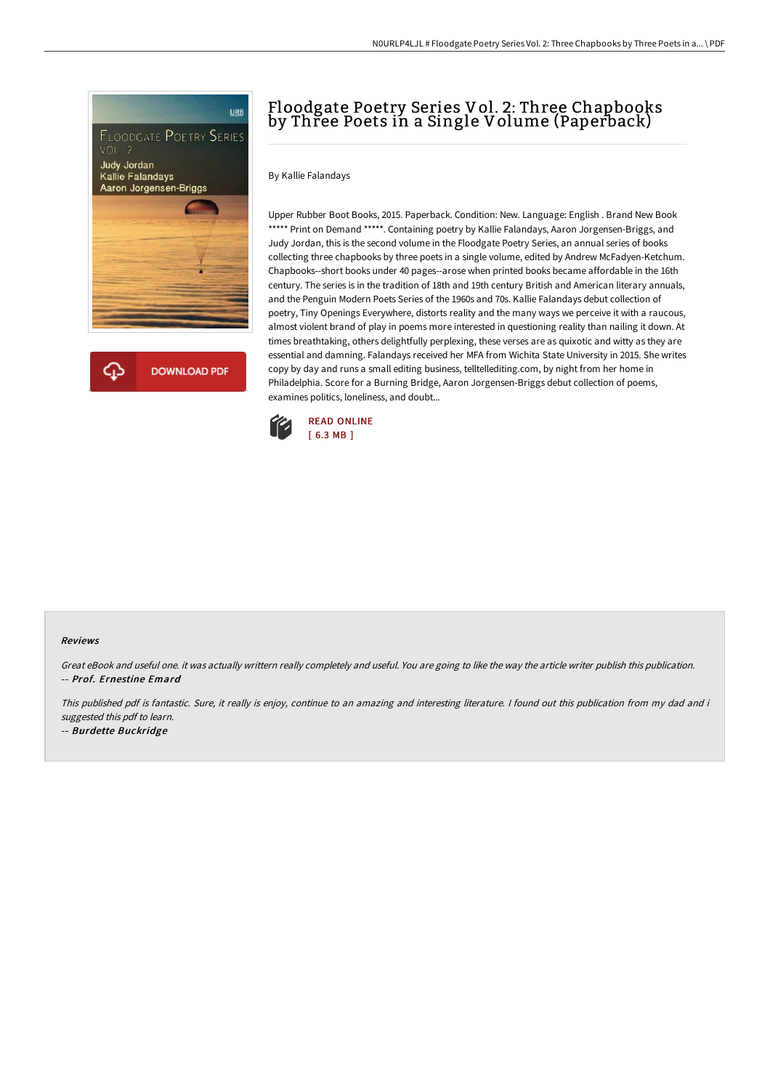

**DOWNLOAD PDF** 

N0URLP4LJL # Floodgate Poetry Series Vol. 2: Three Chapbooks by Three Poets in a...\ PDF

# Floodgate Poetry Series Vol. 2: Three Chapbooks by Three Poets in a Single Volume (Paperback)

By Kallie Falandays

Upper Rubber Boot Books, 2015. Paperback. Condition: New. Language: English . Brand New Book \*\*\*\*\* Print on Demand \*\*\*\*\*. Containing poetry by Kallie Falandays, Aaron Jorgensen-Briggs, and Judy Jordan, this is the second volume in the Floodgate Poetry Series, an annual series of books collecting three chapbooks by three poets in a single volume, edited by Andrew McFadyen-Ketchum. Chapbooks--short books under 40 pages--arose when printed books became affordable in the 16th century. The series is in the tradition of 18th and 19th century British and American literary annuals, and the Penguin Modern Poets Series of the 1960s and 70s. Kallie Falandays debut collection of poetry, Tiny Openings Everywhere, distorts reality and the many ways we perceive it with a raucous, almost violent brand of play in poems more interested in questioning reality than nailing it down. At times breathtaking, others delightfully perplexing, these verses are as quixotic and witty as they are essential and damning. Falandays received her MFA from Wichita State University in 2015. She writes copy by day and runs a small editing business, telltellediting.com, by night from her home in Philadelphia. Score for a Burning Bridge, Aaron Jorgensen-Briggs debut collection of poems, examines politics, loneliness, and doubt...



### Reviews

Great eBook and useful one. it was actually writtern really completely and useful. You are going to like the way the article writer publish this publication. -- Prof. Ernestine Emard

This published pdf is fantastic. Sure, it really is enjoy, continue to an amazing and interesting literature. <sup>I</sup> found out this publication from my dad and i suggested this pdf to learn.

-- Burdette Buckridge